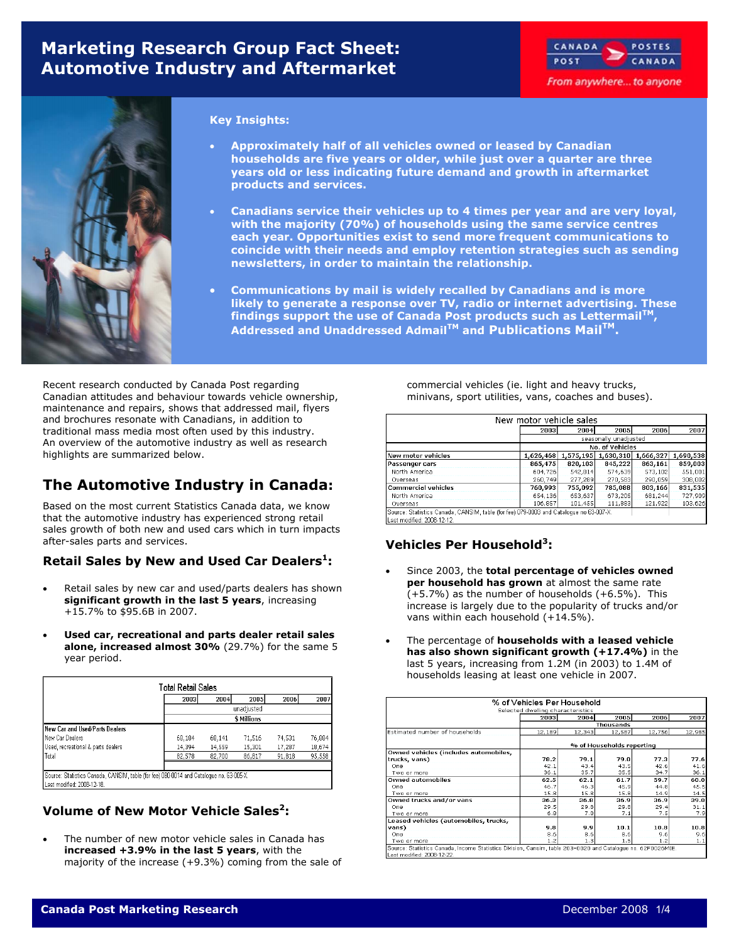# **Marketing Research Group Fact Sheet: Automotive Industry and Aftermarket**





#### **Key Insights:**

- **Approximately half of all vehicles owned or leased by Canadian households are five years or older, while just over a quarter are three years old or less indicating future demand and growth in aftermarket products and services.**
- **Canadians service their vehicles up to 4 times per year and are very loyal, with the majority (70%) of households using the same service centres each year. Opportunities exist to send more frequent communications to coincide with their needs and employ retention strategies such as sending newsletters, in order to maintain the relationship.**
- **Communications by mail is widely recalled by Canadians and is more likely to generate a response over TV, radio or internet advertising. These findings support the use of Canada Post products such as LettermailTM, Addressed and Unaddressed AdmailTM and Publications MailTM.**

Recent research conducted by Canada Post regarding Canadian attitudes and behaviour towards vehicle ownership, maintenance and repairs, shows that addressed mail, flyers and brochures resonate with Canadians, in addition to traditional mass media most often used by this industry. An overview of the automotive industry as well as research highlights are summarized below.

# **The Automotive Industry in Canada:**

Based on the most current Statistics Canada data, we know that the automotive industry has experienced strong retail sales growth of both new and used cars which in turn impacts after-sales parts and services.

### **Retail Sales by New and Used Car Dealers<sup>1</sup>:**

- Retail sales by new car and used/parts dealers has shown **significant growth in the last 5 years**, increasing +15.7% to \$95.6B in 2007.
- **Used car, recreational and parts dealer retail sales alone, increased almost 30%** (29.7%) for the same 5 year period.

| <b>Total Retail Sales</b>                                                                                             |             |        |        |        |        |  |  |  |  |
|-----------------------------------------------------------------------------------------------------------------------|-------------|--------|--------|--------|--------|--|--|--|--|
|                                                                                                                       | 2003        | 2004   | 2005   | 2006   | 2007   |  |  |  |  |
| unadjusted                                                                                                            |             |        |        |        |        |  |  |  |  |
|                                                                                                                       | \$ Millions |        |        |        |        |  |  |  |  |
| New Car and Used/Parts Dealers                                                                                        |             |        |        |        |        |  |  |  |  |
| New Car Dealers                                                                                                       | 68,184      | 68,141 | 71,516 | 74,531 | 76,884 |  |  |  |  |
| Used, recreational & parts dealers                                                                                    | 14,394      | 14,559 | 15,301 | 17,287 | 18,674 |  |  |  |  |
| Total                                                                                                                 | 82,578      | 82,700 | 86,817 | 91,818 | 95,558 |  |  |  |  |
|                                                                                                                       |             |        |        |        |        |  |  |  |  |
| Source: Statistics Canada, CANSIM, table (for fee) 080-0014 and Catalogue no. 63-005-X.<br>Last modified: 2008-12-18. |             |        |        |        |        |  |  |  |  |

### **Volume of New Motor Vehicle Sales2:**

The number of new motor vehicle sales in Canada has **increased +3.9% in the last 5 years**, with the majority of the increase (+9.3%) coming from the sale of commercial vehicles (ie. light and heavy trucks, minivans, sport utilities, vans, coaches and buses).

| New motor vehicle sales    |                                                                                        |           |                       |           |           |  |  |  |
|----------------------------|----------------------------------------------------------------------------------------|-----------|-----------------------|-----------|-----------|--|--|--|
|                            | 2003                                                                                   | 2004      | 2005                  | 2006      | 2007      |  |  |  |
|                            |                                                                                        |           | seasonally unadjusted |           |           |  |  |  |
|                            |                                                                                        |           | No. of Vehicles       |           |           |  |  |  |
| New motor vehicles         | 1,626,468                                                                              | 1.575.195 | 1.630.310             | 1,666,327 | 1,690,538 |  |  |  |
| Passenger cars             | 865.475                                                                                | 820.103   | 845,222               | 863,161   | 859,003   |  |  |  |
| North America              | 604.726                                                                                | 542,814   | 574,639               | 573,102   | 551,001   |  |  |  |
| Overseas                   | 260,749                                                                                | 277,289   | 270,583               | 290,059   | 308,002   |  |  |  |
| <b>Commercial vehicles</b> | 760.993                                                                                | 755,092   | 785,088               | 803,166   | 831,535   |  |  |  |
| North America              | 654.136                                                                                | 653.637   | 673,205               | 681.244   | 727,909   |  |  |  |
| Overseas                   | 106,857                                                                                | 101,455   | 111,883               | 121,922   | 103,626   |  |  |  |
|                            | Source: Statistics Canada, CANSIM, table (for fee) 079-0003 and Catalogue no 63-007-X. |           |                       |           |           |  |  |  |

Last modified: 2008-12-12.

### **Vehicles Per Household3:**

- Since 2003, the **total percentage of vehicles owned per household has grown** at almost the same rate (+5.7%) as the number of households (+6.5%). This increase is largely due to the popularity of trucks and/or vans within each household (+14.5%).
- The percentage of **households with a leased vehicle has also shown significant growth (+17.4%)** in the last 5 years, increasing from 1.2M (in 2003) to 1.4M of households leasing at least one vehicle in 2007.

|                                       | Selected dwelling characteristics<br>2003 | 2004   | 2005             | 2006   | 2007   |  |  |
|---------------------------------------|-------------------------------------------|--------|------------------|--------|--------|--|--|
|                                       |                                           |        | <b>Thousands</b> |        |        |  |  |
| Estimated number of households        | 12.189                                    | 12,343 | 12,587           | 12,756 | 12,985 |  |  |
|                                       | % of Households reporting                 |        |                  |        |        |  |  |
| Owned vehicles (includes automobiles, |                                           |        |                  |        |        |  |  |
| trucks, vans)                         | 78.2                                      | 79.1   | 79.0             | 77.3   | 77.6   |  |  |
| One                                   | 42.1                                      | 43.4   | 43.5             | 42.6   | 41.6   |  |  |
| Two or more                           | 36.1                                      | 35.7   | 35.5             | 34.7   | 36.1   |  |  |
| <b>Owned automobiles</b>              | 62.5                                      | 62.1   | 61.7             | 59.7   | 60.0   |  |  |
| One                                   | 46.7                                      | 46.3   | 45.9             | 44.B   | 45.5   |  |  |
| Two or more                           | 15.8                                      | 15.8   | 15.8             | 14.9   | 14.5   |  |  |
| Owned trucks and/or vans              | 36.3                                      | 36.8   | 36.9             | 36.9   | 39.0   |  |  |
| One                                   | 29.5                                      | 29.8   | 29.8             | 29.4   | 31.1   |  |  |
| Two or more                           | 6.8                                       | 7.0    | 7.1              | 7.5    | 7.9    |  |  |
| Leased vehicles (automobiles, trucks, |                                           |        |                  |        |        |  |  |
| vans)                                 | 9.8                                       | 9.9    | 10.1             | 10.8   | 10.8   |  |  |
| One                                   | 8.6                                       | 8.6    | 8.6              | 9.6    | 9.6    |  |  |
| Two or more                           | 1.2                                       | 1.3    | 1.5              | 1.2    | 1.1    |  |  |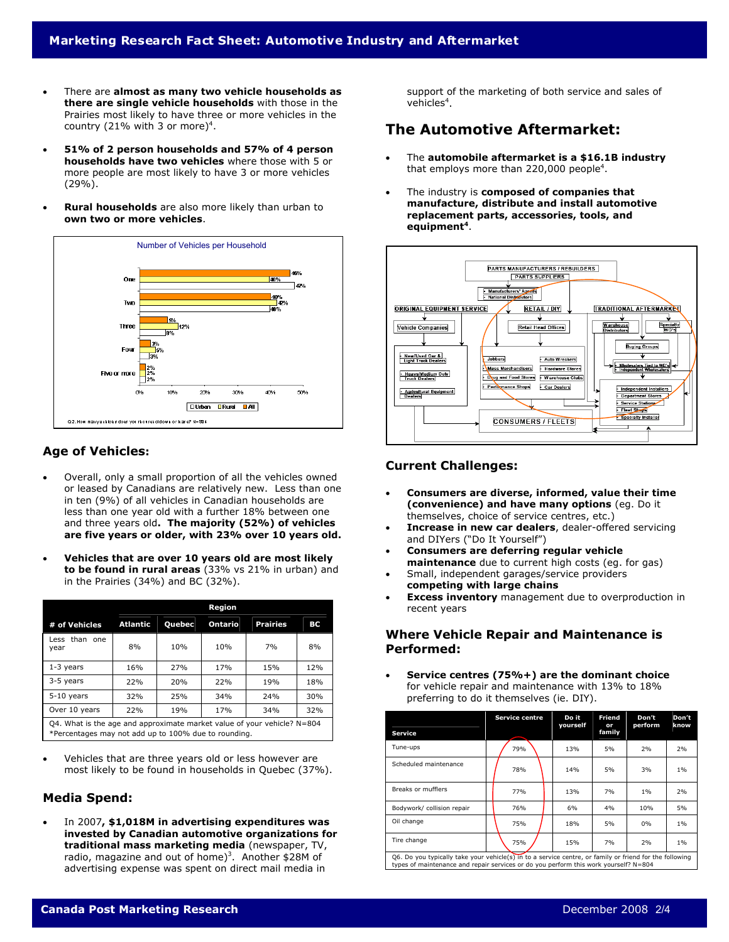- There are **almost as many two vehicle households as there are single vehicle households** with those in the Prairies most likely to have three or more vehicles in the country (21% with 3 or more)<sup>4</sup>.
- **51% of 2 person households and 57% of 4 person households have two vehicles** where those with 5 or more people are most likely to have 3 or more vehicles (29%).
- **Rural households** are also more likely than urban to **own two or more vehicles**.



### **Age of Vehicles:**

- Overall, only a small proportion of all the vehicles owned or leased by Canadians are relatively new. Less than one in ten (9%) of all vehicles in Canadian households are less than one year old with a further 18% between one and three years old**. The majority (52%) of vehicles are five years or older, with 23% over 10 years old.**
- **Vehicles that are over 10 years old are most likely to be found in rural areas** (33% vs 21% in urban) and in the Prairies (34%) and BC (32%).

|                       | Region                                                                                                                           |               |                 |                 |     |  |  |  |  |
|-----------------------|----------------------------------------------------------------------------------------------------------------------------------|---------------|-----------------|-----------------|-----|--|--|--|--|
| # of Vehicles         | Atlantic                                                                                                                         | <b>Quebec</b> | Ontario         | <b>Prairies</b> | ВC  |  |  |  |  |
| Less than one<br>year | 8%                                                                                                                               | 10%           | 10%             | 7%              | 8%  |  |  |  |  |
| $1-3$ years           | 16%                                                                                                                              | 27%           | 17 <sub>%</sub> | 15%             | 12% |  |  |  |  |
| 3-5 years             | 22%                                                                                                                              | 20%           | 22%             | 19%             | 18% |  |  |  |  |
| $5-10$ years          | 32%                                                                                                                              | 25%           | 34%             | 24%             | 30% |  |  |  |  |
| Over 10 years         | 22%                                                                                                                              | 19%           | 17 <sub>%</sub> | 34%             | 32% |  |  |  |  |
|                       | Q4. What is the age and approximate market value of your vehicle? $N=804$<br>*Percentages may not add up to 100% due to rounding |               |                 |                 |     |  |  |  |  |

ercentages may not add up to 100% due to rounding.

Vehicles that are three years old or less however are most likely to be found in households in Quebec (37%).

#### **Media Spend:**

• In 2007**, \$1,018M in advertising expenditures was invested by Canadian automotive organizations for traditional mass marketing media** (newspaper, TV, radio, magazine and out of home)<sup>3</sup>. Another \$28M of advertising expense was spent on direct mail media in

support of the marketing of both service and sales of vehicles $\mathrm{^4}.$ 

## **The Automotive Aftermarket:**

- The **automobile aftermarket is a \$16.1B industry** that employs more than 220,000 people<sup>4</sup>.
- The industry is **composed of companies that manufacture, distribute and install automotive replacement parts, accessories, tools, and equipment<sup>4</sup>**.



#### **Current Challenges:**

- **Consumers are diverse, informed, value their time (convenience) and have many options** (eg. Do it themselves, choice of service centres, etc.)
- **Increase in new car dealers**, dealer-offered servicing and DIYers ("Do It Yourself")
- **Consumers are deferring regular vehicle maintenance** due to current high costs (eg. for gas)
- Small, independent garages/service providers **competing with large chains**
- **Excess inventory** management due to overproduction in recent years

#### **Where Vehicle Repair and Maintenance is Performed:**

• **Service centres (75%+) are the dominant choice**  for vehicle repair and maintenance with 13% to 18% preferring to do it themselves (ie. DIY).

| <b>Service</b>                                                                                                                                                                                  | <b>Service centre</b> | Do it<br>yourself | Friend<br>or<br>family | Don't<br>perform | Don't<br>know |  |  |  |
|-------------------------------------------------------------------------------------------------------------------------------------------------------------------------------------------------|-----------------------|-------------------|------------------------|------------------|---------------|--|--|--|
| Tune-ups                                                                                                                                                                                        | 79%                   | 13%               | 5%                     | 2%               | 2%            |  |  |  |
| Scheduled maintenance                                                                                                                                                                           | 78%                   | 14%               | 5%                     | 3%               | 1%            |  |  |  |
| Breaks or mufflers                                                                                                                                                                              | 77%                   | 13%               | 7%                     | 1%               | 2%            |  |  |  |
| Bodywork/ collision repair                                                                                                                                                                      | 76%                   | 6%                | 4%                     | 10%              | 5%            |  |  |  |
| Oil change                                                                                                                                                                                      | 75%                   | 18%               | 5%                     | $0\%$            | 1%            |  |  |  |
| Tire change                                                                                                                                                                                     | 75%                   | 15%               | 7%                     | 2%               | 1%            |  |  |  |
| Q6. Do you typically take your vehicle(s) in to a service centre, or family or friend for the following<br>types of maintenance and repair services or do you perform this work yourself? N=804 |                       |                   |                        |                  |               |  |  |  |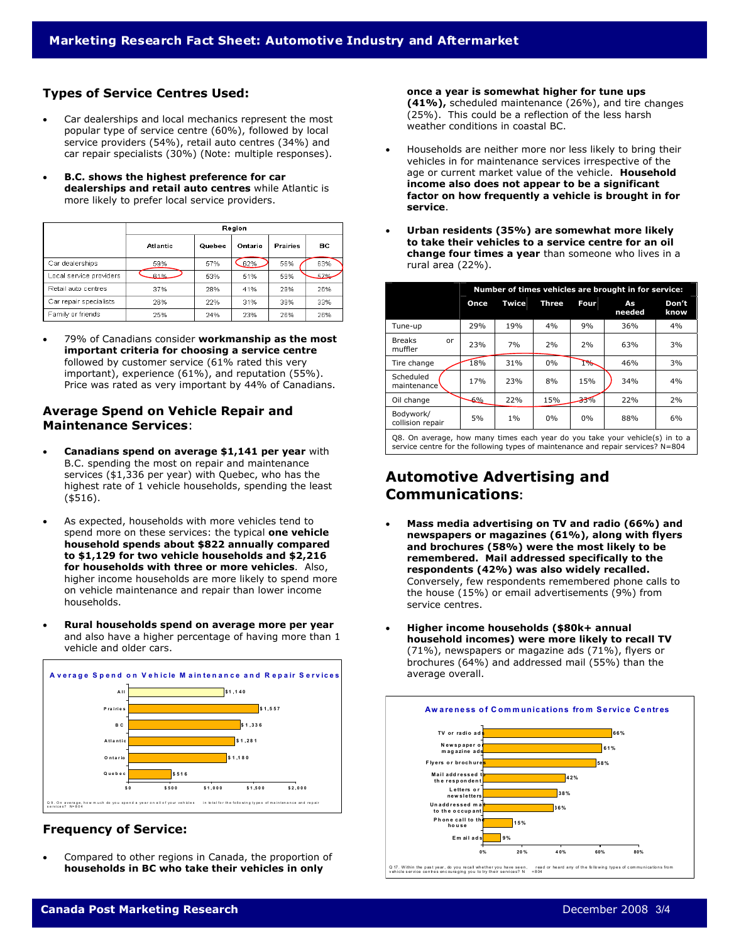#### **Types of Service Centres Used:**

- Car dealerships and local mechanics represent the most popular type of service centre (60%), followed by local service providers (54%), retail auto centres (34%) and car repair specialists (30%) (Note: multiple responses).
- **B.C. shows the highest preference for car dealerships and retail auto centres** while Atlantic is more likely to prefer local service providers.

|                         | Region          |        |         |                 |     |  |  |  |
|-------------------------|-----------------|--------|---------|-----------------|-----|--|--|--|
|                         | <b>Atlantic</b> | Quebec | Ontario | <b>Prairies</b> | вc  |  |  |  |
| Car dealerships         | 59%             | 57%    | 62%     | 56%             | 63% |  |  |  |
| Local service providers | £1%             | 53%    | 51%     | 59%             | 57% |  |  |  |
| Retail auto centres     | 37%             | 28%    | 41%     | 29%             | 26% |  |  |  |
| Car repair specialists  | 26%             | 22%    | 31%     | 39%             | 33% |  |  |  |
| Family or friends       | 25%             | 24%    | 23%     | 26%             | 26% |  |  |  |

• 79% of Canadians consider **workmanship as the most important criteria for choosing a service centre** followed by customer service (61% rated this very important), experience (61%), and reputation (55%). Price was rated as very important by 44% of Canadians.

#### **Average Spend on Vehicle Repair and Maintenance Services**:

- **Canadians spend on average \$1,141 per year** with B.C. spending the most on repair and maintenance services (\$1,336 per year) with Quebec, who has the highest rate of 1 vehicle households, spending the least (\$516).
- As expected, households with more vehicles tend to spend more on these services: the typical **one vehicle household spends about \$822 annually compared to \$1,129 for two vehicle households and \$2,216 for households with three or more vehicles**. Also, higher income households are more likely to spend more on vehicle maintenance and repair than lower income households.
- **Rural households spend on average more per year** and also have a higher percentage of having more than 1 vehicle and older cars.



#### **Frequency of Service:**

• Compared to other regions in Canada, the proportion of **households in BC who take their vehicles in only** 

**once a year is somewhat higher for tune ups (41%),** scheduled maintenance (26%), and tire changes (25%). This could be a reflection of the less harsh weather conditions in coastal BC.

- Households are neither more nor less likely to bring their vehicles in for maintenance services irrespective of the age or current market value of the vehicle. **Household income also does not appear to be a significant factor on how frequently a vehicle is brought in for service**.
- **Urban residents (35%) are somewhat more likely to take their vehicles to a service centre for an oil change four times a year** than someone who lives in a rural area (22%).

|                                                                                                                                                                  | Number of times vehicles are brought in for service: |       |              |             |              |               |  |  |
|------------------------------------------------------------------------------------------------------------------------------------------------------------------|------------------------------------------------------|-------|--------------|-------------|--------------|---------------|--|--|
|                                                                                                                                                                  | Once                                                 | Twice | <b>Three</b> | <b>Four</b> | As<br>needed | Don't<br>know |  |  |
| Tune-up                                                                                                                                                          | 29%                                                  | 19%   | 4%           | 9%          | 36%          | 4%            |  |  |
| <b>Breaks</b><br>or<br>muffler                                                                                                                                   | 23%                                                  | 7%    | 2%           | 2%          | 63%          | 3%            |  |  |
| Tire change                                                                                                                                                      | 18%                                                  | 31%   | $0\%$        | $1\%$       | 46%          | 3%            |  |  |
| Scheduled<br>maintenance <sup>'</sup>                                                                                                                            | 17%                                                  | 23%   | 8%           | 15%         | 34%          | 4%            |  |  |
| Oil change                                                                                                                                                       | -6%                                                  | 22%   | 15%          | $-33%$      | 22%          | 2%            |  |  |
| Bodywork/<br>collision repair                                                                                                                                    | 5%                                                   | $1\%$ | $0\%$        | $0\%$       | 88%          | 6%            |  |  |
| Q8. On average, how many times each year do you take your vehicle(s) in to a<br>service centre for the following types of maintenance and repair services? N=804 |                                                      |       |              |             |              |               |  |  |

### **Automotive Advertising and Communications:**

- **Mass media advertising on TV and radio (66%) and newspapers or magazines (61%), along with flyers and brochures (58%) were the most likely to be remembered. Mail addressed specifically to the respondents (42%) was also widely recalled.** Conversely, few respondents remembered phone calls to the house (15%) or email advertisements (9%) from service centres.
- **Higher income households (\$80k+ annual household incomes) were more likely to recall TV** (71%), newspapers or magazine ads (71%), flyers or brochures (64%) and addressed mail (55%) than the average overall.